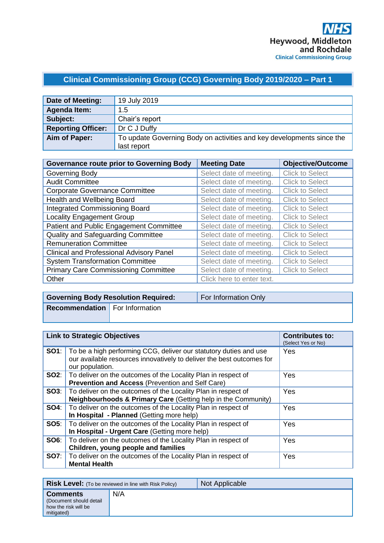## **Clinical Commissioning Group (CCG) Governing Body 2019/2020 – Part 1**

| Date of Meeting:          | 19 July 2019                                                          |
|---------------------------|-----------------------------------------------------------------------|
| <b>Agenda Item:</b>       | 1.5                                                                   |
| Subject:                  | Chair's report                                                        |
| <b>Reporting Officer:</b> | Dr C J Duffy                                                          |
| Aim of Paper:             | To update Governing Body on activities and key developments since the |
|                           | last report                                                           |

| <b>Governance route prior to Governing Body</b> | <b>Meeting Date</b>       | <b>Objective/Outcome</b> |
|-------------------------------------------------|---------------------------|--------------------------|
| Governing Body                                  | Select date of meeting.   | <b>Click to Select</b>   |
| <b>Audit Committee</b>                          | Select date of meeting.   | <b>Click to Select</b>   |
| <b>Corporate Governance Committee</b>           | Select date of meeting.   | <b>Click to Select</b>   |
| Health and Wellbeing Board                      | Select date of meeting.   | <b>Click to Select</b>   |
| <b>Integrated Commissioning Board</b>           | Select date of meeting.   | <b>Click to Select</b>   |
| <b>Locality Engagement Group</b>                | Select date of meeting.   | <b>Click to Select</b>   |
| Patient and Public Engagement Committee         | Select date of meeting.   | <b>Click to Select</b>   |
| Quality and Safeguarding Committee              | Select date of meeting.   | <b>Click to Select</b>   |
| <b>Remuneration Committee</b>                   | Select date of meeting.   | <b>Click to Select</b>   |
| <b>Clinical and Professional Advisory Panel</b> | Select date of meeting.   | <b>Click to Select</b>   |
| <b>System Transformation Committee</b>          | Select date of meeting.   | <b>Click to Select</b>   |
| <b>Primary Care Commissioning Committee</b>     | Select date of meeting.   | <b>Click to Select</b>   |
| Other                                           | Click here to enter text. |                          |

|                                       | <b>Governing Body Resolution Required:</b> | For Information Only |
|---------------------------------------|--------------------------------------------|----------------------|
| <b>Recommendation</b> For Information |                                            |                      |
|                                       |                                            |                      |

| <b>Link to Strategic Objectives</b>                                                                                                                                        | <b>Contributes to:</b><br>(Select Yes or No) |
|----------------------------------------------------------------------------------------------------------------------------------------------------------------------------|----------------------------------------------|
| <b>SO1</b> : To be a high performing CCG, deliver our statutory duties and use<br>our available resources innovatively to deliver the best outcomes for<br>our population. | Yes                                          |
| <b>SO2:</b>   To deliver on the outcomes of the Locality Plan in respect of<br><b>Prevention and Access (Prevention and Self Care)</b>                                     | Yes                                          |
| <b>SO3:</b>   To deliver on the outcomes of the Locality Plan in respect of<br><b>Neighbourhoods &amp; Primary Care (Getting help in the Community)</b>                    | Yes                                          |
| <b>SO4:</b> To deliver on the outcomes of the Locality Plan in respect of<br>In Hospital - Planned (Getting more help)                                                     | Yes                                          |
| <b>SO5:</b>   To deliver on the outcomes of the Locality Plan in respect of<br>In Hospital - Urgent Care (Getting more help)                                               | Yes                                          |
| <b>SO6:</b> To deliver on the outcomes of the Locality Plan in respect of<br>Children, young people and families                                                           | <b>Yes</b>                                   |
| <b>SO7:</b> To deliver on the outcomes of the Locality Plan in respect of<br><b>Mental Health</b>                                                                          | Yes                                          |

| <b>Risk Level:</b> (To be reviewed in line with Risk Policy)                     |     | Not Applicable |
|----------------------------------------------------------------------------------|-----|----------------|
| <b>Comments</b><br>(Document should detail<br>how the risk will be<br>mitigated) | N/A |                |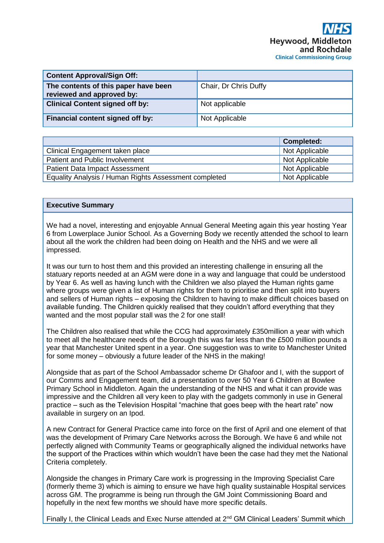| <b>Content Approval/Sign Off:</b>                                 |                       |
|-------------------------------------------------------------------|-----------------------|
| The contents of this paper have been<br>reviewed and approved by: | Chair, Dr Chris Duffy |
| <b>Clinical Content signed off by:</b>                            | Not applicable        |
| Financial content signed off by:                                  | Not Applicable        |

|                                                       | <b>Completed:</b> |
|-------------------------------------------------------|-------------------|
| Clinical Engagement taken place                       | Not Applicable    |
| Patient and Public Involvement                        | Not Applicable    |
| <b>Patient Data Impact Assessment</b>                 | Not Applicable    |
| Equality Analysis / Human Rights Assessment completed | Not Applicable    |

## **Executive Summary**

We had a novel, interesting and enjoyable Annual General Meeting again this year hosting Year 6 from Lowerplace Junior School. As a Governing Body we recently attended the school to learn about all the work the children had been doing on Health and the NHS and we were all impressed.

It was our turn to host them and this provided an interesting challenge in ensuring all the statuary reports needed at an AGM were done in a way and language that could be understood by Year 6. As well as having lunch with the Children we also played the Human rights game where groups were given a list of Human rights for them to prioritise and then split into buyers and sellers of Human rights – exposing the Children to having to make difficult choices based on available funding. The Children quickly realised that they couldn't afford everything that they wanted and the most popular stall was the 2 for one stall!

The Children also realised that while the CCG had approximately £350million a year with which to meet all the healthcare needs of the Borough this was far less than the £500 million pounds a year that Manchester United spent in a year. One suggestion was to write to Manchester United for some money – obviously a future leader of the NHS in the making!

Alongside that as part of the School Ambassador scheme Dr Ghafoor and I, with the support of our Comms and Engagement team, did a presentation to over 50 Year 6 Children at Bowlee Primary School in Middleton. Again the understanding of the NHS and what it can provide was impressive and the Children all very keen to play with the gadgets commonly in use in General practice – such as the Television Hospital "machine that goes beep with the heart rate" now available in surgery on an Ipod.

A new Contract for General Practice came into force on the first of April and one element of that was the development of Primary Care Networks across the Borough. We have 6 and while not perfectly aligned with Community Teams or geographically aligned the individual networks have the support of the Practices within which wouldn't have been the case had they met the National Criteria completely.

Alongside the changes in Primary Care work is progressing in the Improving Specialist Care (formerly theme 3) which is aiming to ensure we have high quality sustainable Hospital services across GM. The programme is being run through the GM Joint Commissioning Board and hopefully in the next few months we should have more specific details.

Finally I, the Clinical Leads and Exec Nurse attended at 2<sup>nd</sup> GM Clinical Leaders' Summit which